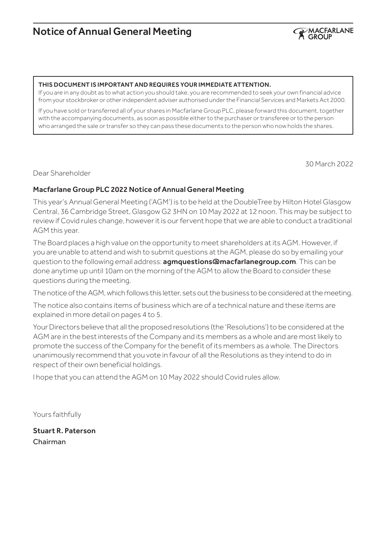# Notice of Annual General Meeting



#### THIS DOCUMENT IS IMPORTANT AND REQUIRES YOUR IMMEDIATE ATTENTION.

If you are in any doubt as to what action you should take, you are recommended to seek your own financial advice from your stockbroker or other independent adviser authorised under the Financial Services and Markets Act 2000.

If you have sold or transferred all of your shares in Macfarlane Group PLC, please forward this document, together with the accompanying documents, as soon as possible either to the purchaser or transferee or to the person who arranged the sale or transfer so they can pass these documents to the person who now holds the shares.

30 March 2022

Dear Shareholder

### Macfarlane Group PLC 2022 Notice of Annual General Meeting

This year's Annual General Meeting ('AGM') is to be held at the DoubleTree by Hilton Hotel Glasgow Central, 36 Cambridge Street, Glasgow G2 3HN on 10 May 2022 at 12 noon. This may be subject to review if Covid rules change, however it is our fervent hope that we are able to conduct a traditional AGM this year.

The Board places a high value on the opportunity to meet shareholders at its AGM. However, if you are unable to attend and wish to submit questions at the AGM, please do so by emailing your question to the following email address: **agmquestions@macfarlanegroup.com**. This can be done anytime up until 10am on the morning of the AGM to allow the Board to consider these questions during the meeting.

The notice of the AGM, which follows this letter, sets out the business to be considered at the meeting.

The notice also contains items of business which are of a technical nature and these items are explained in more detail on pages 4 to 5.

Your Directors believe that all the proposed resolutions (the 'Resolutions') to be considered at the AGM are in the best interests of the Company and its members as a whole and are most likely to promote the success of the Company for the benefit of its members as a whole. The Directors unanimously recommend that you vote in favour of all the Resolutions as they intend to do in respect of their own beneficial holdings.

I hope that you can attend the AGM on 10 May 2022 should Covid rules allow.

Yours faithfully

Stuart R. Paterson Chairman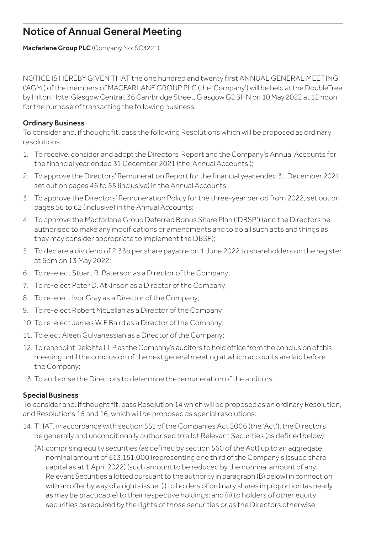# Notice of Annual General Meeting

Macfarlane Group PLC (Company No: SC4221)

NOTICE IS HEREBY GIVEN THAT the one hundred and twenty first ANNUAL GENERAL MEETING ('AGM') of the members of MACFARLANE GROUP PLC (the 'Company') will be held at the DoubleTree by Hilton Hotel Glasgow Central, 36 Cambridge Street, Glasgow G2 3HN on 10 May 2022 at 12 noon for the purpose of transacting the following business:

## Ordinary Business

To consider and, if thought fit, pass the following Resolutions which will be proposed as ordinary resolutions:

- 1. To receive, consider and adopt the Directors' Report and the Company's Annual Accounts for the financial year ended 31 December 2021 (the 'Annual Accounts');
- 2. To approve the Directors' Remuneration Report for the financial year ended 31 December 2021 set out on pages 46 to 55 (inclusive) in the Annual Accounts;
- 3. To approve the Directors' Remuneration Policy for the three-year period from 2022, set out on pages 56 to 62 (inclusive) in the Annual Accounts;
- 4. To approve the Macfarlane Group Deferred Bonus Share Plan ('DBSP') (and the Directors be authorised to make any modifications or amendments and to do all such acts and things as they may consider appropriate to implement the DBSP);
- 5. To declare a dividend of 2.33p per share payable on 1 June 2022 to shareholders on the register at 6pm on 13 May 2022;
- 6. To re-elect Stuart R. Paterson as a Director of the Company;
- 7. To re-elect Peter D. Atkinson as a Director of the Company;
- 8. To re-elect Ivor Gray as a Director of the Company;
- 9. To re-elect Robert McLellan as a Director of the Company;
- 10. To re-elect James W.F Baird as a Director of the Company;
- 11. To elect Aleen Gulvanessian as a Director of the Company;
- 12. To reappoint Deloitte LLP as the Company's auditors to hold office from the conclusion of this meeting until the conclusion of the next general meeting at which accounts are laid before the Company;
- 13. To authorise the Directors to determine the remuneration of the auditors.

## Special Business

To consider and, if thought fit, pass Resolution 14 which will be proposed as an ordinary Resolution, and Resolutions 15 and 16, which will be proposed as special resolutions:

- 14. THAT, in accordance with section 551 of the Companies Act 2006 (the 'Act'), the Directors be generally and unconditionally authorised to allot Relevant Securities (as defined below):
	- (A) comprising equity securities (as defined by section 560 of the Act) up to an aggregate nominal amount of £13,151,000 (representing one third of the Company's issued share capital as at 1 April 2022) (such amount to be reduced by the nominal amount of any Relevant Securities allotted pursuant to the authority in paragraph (B) below) in connection with an offer by way of a rights issue: (i) to holders of ordinary shares in proportion (as nearly as may be practicable) to their respective holdings; and (ii) to holders of other equity securities as required by the rights of those securities or as the Directors otherwise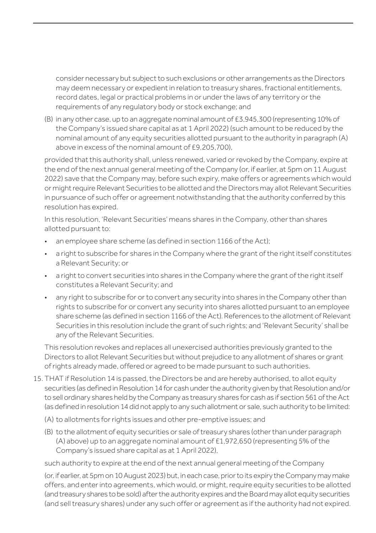consider necessary but subject to such exclusions or other arrangements as the Directors may deem necessary or expedient in relation to treasury shares, fractional entitlements, record dates, legal or practical problems in or under the laws of any territory or the requirements of any regulatory body or stock exchange; and

(B) in any other case, up to an aggregate nominal amount of £3,945,300 (representing 10% of the Company's issued share capital as at 1 April 2022) (such amount to be reduced by the nominal amount of any equity securities allotted pursuant to the authority in paragraph (A) above in excess of the nominal amount of £9,205,700),

provided that this authority shall, unless renewed, varied or revoked by the Company, expire at the end of the next annual general meeting of the Company (or, if earlier, at 5pm on 11 August 2022) save that the Company may, before such expiry, make offers or agreements which would or might require Relevant Securities to be allotted and the Directors may allot Relevant Securities in pursuance of such offer or agreement notwithstanding that the authority conferred by this resolution has expired.

In this resolution, 'Relevant Securities' means shares in the Company, other than shares allotted pursuant to:

- an employee share scheme (as defined in section 1166 of the Act);
- a right to subscribe for shares in the Company where the grant of the right itself constitutes a Relevant Security; or
- a right to convert securities into shares in the Company where the grant of the right itself constitutes a Relevant Security; and
- any right to subscribe for or to convert any security into shares in the Company other than rights to subscribe for or convert any security into shares allotted pursuant to an employee share scheme (as defined in section 1166 of the Act). References to the allotment of Relevant Securities in this resolution include the grant of such rights; and 'Relevant Security' shall be any of the Relevant Securities.

This resolution revokes and replaces all unexercised authorities previously granted to the Directors to allot Relevant Securities but without prejudice to any allotment of shares or grant of rights already made, offered or agreed to be made pursuant to such authorities.

- 15. THAT if Resolution 14 is passed, the Directors be and are hereby authorised, to allot equity securities (as defined in Resolution 14 for cash under the authority given by that Resolution and/or to sell ordinary shares held by the Company as treasury shares for cash as if section 561 of the Act (as defined in resolution 14 did not apply to any such allotment or sale, such authority to be limited:
	- (A) to allotments for rights issues and other pre-emptive issues; and
	- (B) to the allotment of equity securities or sale of treasury shares (other than under paragraph (A) above) up to an aggregate nominal amount of £1,972,650 (representing 5% of the Company's issued share capital as at 1 April 2022),

such authority to expire at the end of the next annual general meeting of the Company

(or, if earlier, at 5pm on 10 August 2023) but, in each case, prior to its expiry the Company may make offers, and enter into agreements, which would, or might, require equity securities to be allotted (and treasury shares to be sold) after the authority expires and the Board may allot equity securities (and sell treasury shares) under any such offer or agreement as if the authority had not expired.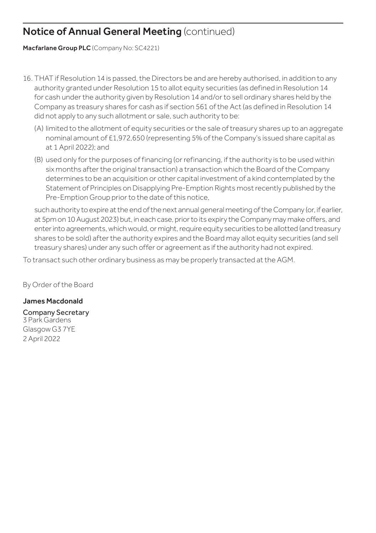# Notice of Annual General Meeting (continued)

Macfarlane Group PLC (Company No: SC4221)

- 16. THAT if Resolution 14 is passed, the Directors be and are hereby authorised, in addition to any authority granted under Resolution 15 to allot equity securities (as defined in Resolution 14 for cash under the authority given by Resolution 14 and/or to sell ordinary shares held by the Company as treasury shares for cash as if section 561 of the Act (as defined in Resolution 14 did not apply to any such allotment or sale, such authority to be:
	- (A) limited to the allotment of equity securities or the sale of treasury shares up to an aggregate nominal amount of £1,972,650 (representing 5% of the Company's issued share capital as at 1 April 2022); and
	- (B) used only for the purposes of financing (or refinancing, if the authority is to be used within six months after the original transaction) a transaction which the Board of the Company determines to be an acquisition or other capital investment of a kind contemplated by the Statement of Principles on Disapplying Pre-Emption Rights most recently published by the Pre-Emption Group prior to the date of this notice,

such authority to expire at the end of the next annual general meeting of the Company (or, if earlier, at 5pm on 10 August 2023) but, in each case, prior to its expiry the Company may make offers, and enter into agreements, which would, or might, require equity securities to be allotted (and treasury shares to be sold) after the authority expires and the Board may allot equity securities (and sell treasury shares) under any such offer or agreement as if the authority had not expired.

To transact such other ordinary business as may be properly transacted at the AGM.

By Order of the Board

## James Macdonald

Company Secretary 3 Park Gardens Glasgow G3 7YE 2 April 2022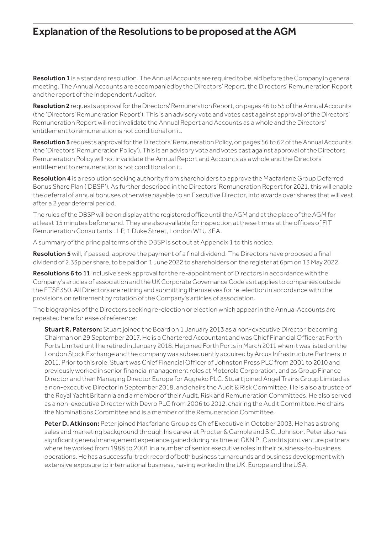# Explanation of the Resolutions to be proposed at the AGM

Resolution 1 is a standard resolution. The Annual Accounts are required to be laid before the Company in general meeting. The Annual Accounts are accompanied by the Directors' Report, the Directors' Remuneration Report and the report of the Independent Auditor.

Resolution 2 requests approval for the Directors' Remuneration Report, on pages 46 to 55 of the Annual Accounts (the 'Directors' Remuneration Report'). This is an advisory vote and votes cast against approval of the Directors' Remuneration Report will not invalidate the Annual Report and Accounts as a whole and the Directors' entitlement to remuneration is not conditional on it.

Resolution 3 requests approval for the Directors' Remuneration Policy, on pages 56 to 62 of the Annual Accounts (the 'Directors' Remuneration Policy'). This is an advisory vote and votes cast against approval of the Directors' Remuneration Policy will not invalidate the Annual Report and Accounts as a whole and the Directors' entitlement to remuneration is not conditional on it.

Resolution 4 is a resolution seeking authority from shareholders to approve the Macfarlane Group Deferred Bonus Share Plan ('DBSP'). As further described in the Directors' Remuneration Report for 2021, this will enable the deferral of annual bonuses otherwise payable to an Executive Director, into awards over shares that will vest after a 2 year deferral period.

The rules of the DBSP will be on display at the registered office until the AGM and at the place of the AGM for at least 15 minutes beforehand. They are also available for inspection at these times at the offices of FIT Remuneration Consultants LLP, 1 Duke Street, London W1U 3EA.

A summary of the principal terms of the DBSP is set out at Appendix 1 to this notice.

Resolution 5 will, if passed, approve the payment of a final dividend. The Directors have proposed a final dividend of 2.33p per share, to be paid on 1 June 2022 to shareholders on the register at 6pm on 13 May 2022.

Resolutions 6 to 11 inclusive seek approval for the re-appointment of Directors in accordance with the Company's articles of association and the UK Corporate Governance Code as it applies to companies outside the FTSE350. All Directors are retiring and submitting themselves for re-election in accordance with the provisions on retirement by rotation of the Company's articles of association.

The biographies of the Directors seeking re-election or election which appear in the Annual Accounts are repeated here for ease of reference:

Stuart R. Paterson: Stuart joined the Board on 1 January 2013 as a non-executive Director, becoming Chairman on 29 September 2017. He is a Chartered Accountant and was Chief Financial Officer at Forth Ports Limited until he retired in January 2018. He joined Forth Ports in March 2011 when it was listed on the London Stock Exchange and the company was subsequently acquired by Arcus Infrastructure Partners in 2011. Prior to this role, Stuart was Chief Financial Officer of Johnston Press PLC from 2001 to 2010 and previously worked in senior financial management roles at Motorola Corporation, and as Group Finance Director and then Managing Director Europe for Aggreko PLC. Stuart joined Angel Trains Group Limited as a non-executive Director in September 2018, and chairs the Audit & Risk Committee. He is also a trustee of the Royal Yacht Britannia and a member of their Audit, Risk and Remuneration Committees. He also served as a non-executive Director with Devro PLC from 2006 to 2012, chairing the Audit Committee. He chairs the Nominations Committee and is a member of the Remuneration Committee.

Peter D. Atkinson: Peter joined Macfarlane Group as Chief Executive in October 2003. He has a strong sales and marketing background through his career at Procter & Gamble and S.C. Johnson. Peter also has significant general management experience gained during his time at GKN PLC and its joint venture partners where he worked from 1988 to 2001 in a number of senior executive roles in their business-to-business operations. He has a successful track record of both business turnarounds and business development with extensive exposure to international business, having worked in the UK, Europe and the USA.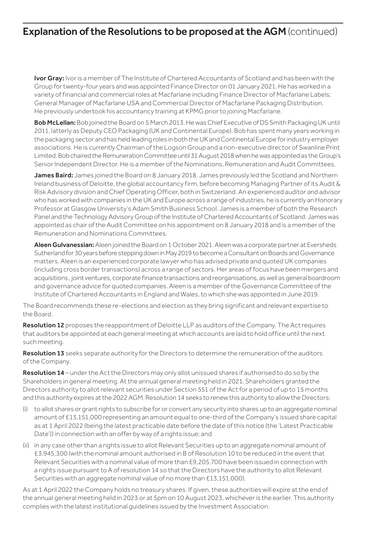# **Explanation of the Resolutions to be proposed at the AGM** (continued)

Ivor Gray: Ivor is a member of The Institute of Chartered Accountants of Scotland and has been with the Group for twenty-four years and was appointed Finance Director on 01 January 2021. He has worked in a variety of financial and commercial roles at Macfarlane including Finance Director of Macfarlane Labels; General Manager of Macfarlane USA and Commercial Director of Macfarlane Packaging Distribution. He previously undertook his accountancy training at KPMG prior to joining Macfarlane.

Bob McLellan: Bob joined the Board on 5 March 2013. He was Chief Executive of DS Smith Packaging UK until 2011, latterly as Deputy CEO Packaging (UK and Continental Europe). Bob has spent many years working in the packaging sector and has held leading roles in both the UK and Continental Europe for industry employer associations. He is currently Chairman of the Logson Group and a non-executive director of Swanline Print Limited. Bob chaired the Remuneration Committee until 31 August 2018 when he was appointed as the Group's Senior Independent Director. He is a member of the Nominations, Remuneration and Audit Committees.

James Baird: James joined the Board on 8 January 2018. James previously led the Scotland and Northern Ireland business of Deloitte, the global accountancy firm, before becoming Managing Partner of its Audit & Risk Advisory division and Chief Operating Officer, both in Switzerland. An experienced auditor and advisor who has worked with companies in the UK and Europe across a range of industries, he is currently an Honorary Professor at Glasgow University's Adam Smith Business School. James is a member of both the Research Panel and the Technology Advisory Group of the Institute of Chartered Accountants of Scotland. James was appointed as chair of the Audit Committee on his appointment on 8 January 2018 and is a member of the Remuneration and Nominations Committees.

Aleen Gulvanessian: Aleen joined the Board on 1 October 2021. Aleen was a corporate partner at Eversheds Sutherland for 30 years before stepping down in May 2019 to become a Consultant on Boards and Governance matters. Aleen is an experienced corporate lawyer who has advised private and quoted UK companies (including cross border transactions) across a range of sectors. Her areas of focus have been mergers and acquisitions , joint ventures, corporate finance transactions and reorganisations, as well as general boardroom and governance advice for quoted companies. Aleen is a member of the Governance Committee of the Institute of Chartered Accountants in England and Wales, to which she was appointed in June 2019.

The Board recommends these re-elections and election as they bring significant and relevant expertise to the Board.

Resolution 12 proposes the reappointment of Deloitte LLP as auditors of the Company. The Act requires that auditors be appointed at each general meeting at which accounts are laid to hold office until the next such meeting.

Resolution 13 seeks separate authority for the Directors to determine the remuneration of the auditors of the Company.

Resolution 14 – under the Act the Directors may only allot unissued shares if authorised to do so by the Shareholders in general meeting. At the annual general meeting held in 2021, Shareholders granted the Directors authority to allot relevant securities under Section 551 of the Act for a period of up to 15 months and this authority expires at the 2022 AGM. Resolution 14 seeks to renew this authority to allow the Directors:

- (i) to allot shares or grant rights to subscribe for or convert any security into shares up to an aggregate nominal amount of £13,151,000 representing an amount equal to one-third of the Company's issued share capital as at 1 April 2022 (being the latest practicable date before the date of this notice (the 'Latest Practicable Date')) in connection with an offer by way of a rights issue; and
- (ii) in any case other than a rights issue to allot Relevant Securities up to an aggregate nominal amount of £3,945,300 (with the nominal amount authorised in B of Resolution 10 to be reduced in the event that Relevant Securities with a nominal value of more than £9,205,700 have been issued in connection with a rights issue pursuant to A of resolution 14 so that the Directors have the authority to allot Relevant Securities with an aggregate nominal value of no more than £13,151,000).

As at 1 April 2022 the Company holds no treasury shares. If given, these authorities will expire at the end of the annual general meeting held in 2023 or at 5pm on 10 August 2023, whichever is the earlier. This authority complies with the latest institutional guidelines issued by the Investment Association.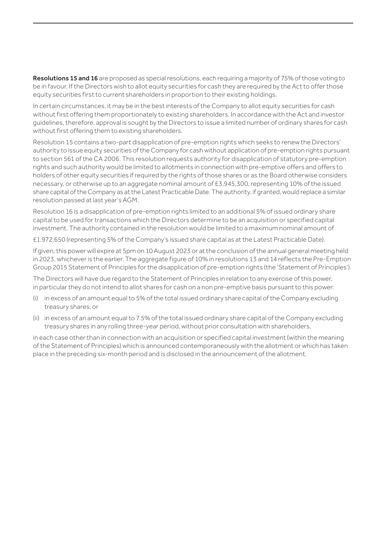Resolutions 15 and 16 are proposed as special resolutions, each requiring a majority of 75% of those voting to be in favour. If the Directors wish to allot equity securities for cash they are required by the Act to offer those equity securities first to current shareholders in proportion to their existing holdings.

In certain circumstances, it may be in the best interests of the Company to allot equity securities for cash without first offering them proportionately to existing shareholders. In accordance with the Act and investor guidelines, therefore, approval is sought by the Directors to issue a limited number of ordinary shares for cash without first offering them to existing shareholders.

Resolution 15 contains a two-part disapplication of pre-emption rights which seeks to renew the Directors' authority to issue equity securities of the Company for cash without application of pre-emption rights pursuant to section 561 of the CA 2006. This resolution requests authority for disapplication of statutory pre-emption rights and such authority would be limited to allotments in connection with pre-emptive offers and offers to holders of other equity securities if required by the rights of those shares or as the Board otherwise considers necessary, or otherwise up to an aggregate nominal amount of £3,945,300, representing 10% of the issued share capital of the Company as at the Latest Practicable Date. The authority, if granted, would replace a similar resolution passed at last year's AGM.

Resolution 16 is a disapplication of pre-emption rights limited to an additional 5% of issued ordinary share capital to be used for transactions which the Directors determine to be an acquisition or specified capital investment. The authority contained in the resolution would be limited to a maximum nominal amount of

£1,972,650 (representing 5% of the Company's issued share capital as at the Latest Practicable Date).

If given, this power will expire at 5pm on 10 August 2023 or at the conclusion of the annual general meeting held in 2023, whichever is the earlier. The aggregate figure of 10% in resolutions 13 and 14 reflects the Pre-Emption Group 2015 Statement of Principles for the disapplication of pre-emption rights (the 'Statement of Principles').

The Directors will have due regard to the Statement of Principles in relation to any exercise of this power, in particular they do not intend to allot shares for cash on a non pre-emptive basis pursuant to this power:

- (i) in excess of an amount equal to 5% of the total issued ordinary share capital of the Company excluding treasury shares; or
- (ii) in excess of an amount equal to 7.5% of the total issued ordinary share capital of the Company excluding treasury shares in any rolling three-year period, without prior consultation with shareholders,

in each case other than in connection with an acquisition or specified capital investment (within the meaning of the Statement of Principles) which is announced contemporaneously with the allotment or which has taken place in the preceding six-month period and is disclosed in the announcement of the allotment.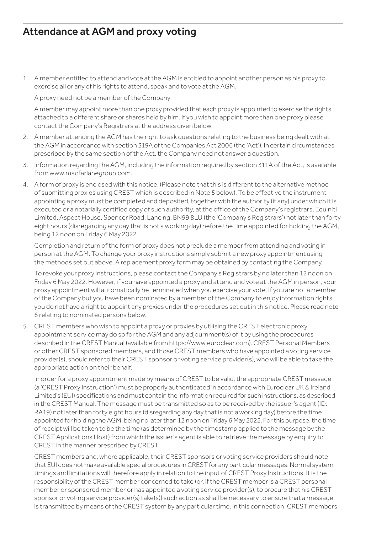# Attendance at AGM and proxy voting

1. A member entitled to attend and vote at the AGM is entitled to appoint another person as his proxy to exercise all or any of his rights to attend, speak and to vote at the AGM.

A proxy need not be a member of the Company.

A member may appoint more than one proxy provided that each proxy is appointed to exercise the rights attached to a different share or shares held by him. If you wish to appoint more than one proxy please contact the Company's Registrars at the address given below.

- 2. A member attending the AGM has the right to ask questions relating to the business being dealt with at the AGM in accordance with section 319A of the Companies Act 2006 (the 'Act'). In certain circumstances prescribed by the same section of the Act, the Company need not answer a question.
- 3. Information regarding the AGM, including the information required by section 311A of the Act, is available from www.macfarlanegroup.com.
- 4. A form of proxy is enclosed with this notice. (Please note that this is different to the alternative method of submitting proxies using CREST which is described in Note 5 below). To be effective the instrument appointing a proxy must be completed and deposited, together with the authority (if any) under which it is executed or a notarially certified copy of such authority, at the office of the Company's registrars, Equiniti Limited, Aspect House, Spencer Road, Lancing, BN99 8LU (the 'Company's Registrars') not later than forty eight hours (disregarding any day that is not a working day) before the time appointed for holding the AGM, being 12 noon on Friday 6 May 2022.

Completion and return of the form of proxy does not preclude a member from attending and voting in person at the AGM. To change your proxy instructions simply submit a new proxy appointment using the methods set out above. A replacement proxy form may be obtained by contacting the Company.

To revoke your proxy instructions, please contact the Company's Registrars by no later than 12 noon on Friday 6 May 2022. However, if you have appointed a proxy and attend and vote at the AGM in person, your proxy appointment will automatically be terminated when you exercise your vote. If you are not a member of the Company but you have been nominated by a member of the Company to enjoy information rights, you do not have a right to appoint any proxies under the procedures set out in this notice. Please read note 6 relating to nominated persons below.

5. CREST members who wish to appoint a proxy or proxies by utilising the CREST electronic proxy appointment service may do so for the AGM and any adjournment(s) of it by using the procedures described in the CREST Manual (available from https://www.euroclear.com). CREST Personal Members or other CREST sponsored members, and those CREST members who have appointed a voting service provider(s), should refer to their CREST sponsor or voting service provider(s), who will be able to take the appropriate action on their behalf.

In order for a proxy appointment made by means of CREST to be valid, the appropriate CREST message (a 'CREST Proxy Instruction') must be properly authenticated in accordance with Euroclear UK & Ireland Limited's (EUI) specifications and must contain the information required for such instructions, as described in the CREST Manual. The message must be transmitted so as to be received by the issuer's agent (ID: RA19) not later than forty eight hours (disregarding any day that is not a working day) before the time appointed for holding the AGM, being no later than 12 noon on Friday 6 May 2022. For this purpose, the time of receipt will be taken to be the time (as determined by the timestamp applied to the message by the CREST Applications Host) from which the issuer's agent is able to retrieve the message by enquiry to CREST in the manner prescribed by CREST.

CREST members and, where applicable, their CREST sponsors or voting service providers should note that EUI does not make available special procedures in CREST for any particular messages. Normal system timings and limitations will therefore apply in relation to the input of CREST Proxy Instructions. It is the responsibility of the CREST member concerned to take (or, if the CREST member is a CREST personal member or sponsored member or has appointed a voting service provider(s), to procure that his CREST sponsor or voting service provider(s) take(s)) such action as shall be necessary to ensure that a message is transmitted by means of the CREST system by any particular time. In this connection, CREST members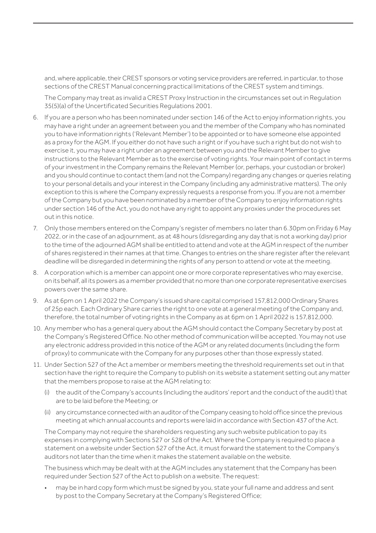and, where applicable, their CREST sponsors or voting service providers are referred, in particular, to those sections of the CREST Manual concerning practical limitations of the CREST system and timings.

The Company may treat as invalid a CREST Proxy Instruction in the circumstances set out in Regulation 35(5)(a) of the Uncertificated Securities Regulations 2001.

- 6. If you are a person who has been nominated under section 146 of the Act to enjoy information rights, you may have a right under an agreement between you and the member of the Company who has nominated you to have information rights ('Relevant Member') to be appointed or to have someone else appointed as a proxy for the AGM. If you either do not have such a right or if you have such a right but do not wish to exercise it, you may have a right under an agreement between you and the Relevant Member to give instructions to the Relevant Member as to the exercise of voting rights. Your main point of contact in terms of your investment in the Company remains the Relevant Member (or, perhaps, your custodian or broker) and you should continue to contact them (and not the Company) regarding any changes or queries relating to your personal details and your interest in the Company (including any administrative matters). The only exception to this is where the Company expressly requests a response from you. If you are not a member of the Company but you have been nominated by a member of the Company to enjoy information rights under section 146 of the Act, you do not have any right to appoint any proxies under the procedures set out in this notice.
- 7. Only those members entered on the Company's register of members no later than 6.30pm on Friday 6 May 2022, or in the case of an adjournment, as at 48 hours (disregarding any day that is not a working day) prior to the time of the adjourned AGM shall be entitled to attend and vote at the AGM in respect of the number of shares registered in their names at that time. Changes to entries on the share register after the relevant deadline will be disregarded in determining the rights of any person to attend or vote at the meeting.
- 8. A corporation which is a member can appoint one or more corporate representatives who may exercise, on its behalf, all its powers as a member provided that no more than one corporate representative exercises powers over the same share.
- 9. As at 6pm on 1 April 2022 the Company's issued share capital comprised 157,812,000 Ordinary Shares of 25p each. Each Ordinary Share carries the right to one vote at a general meeting of the Company and, therefore, the total number of voting rights in the Company as at 6pm on 1 April 2022 is 157,812,000.
- 10. Any member who has a general query about the AGM should contact the Company Secretary by post at the Company's Registered Office. No other method of communication will be accepted. You may not use any electronic address provided in this notice of the AGM or any related documents (including the form of proxy) to communicate with the Company for any purposes other than those expressly stated.
- 11. Under Section 527 of the Act a member or members meeting the threshold requirements set out in that section have the right to require the Company to publish on its website a statement setting out any matter that the members propose to raise at the AGM relating to:
	- (i) the audit of the Company's accounts (including the auditors' report and the conduct of the audit) that are to be laid before the Meeting; or
	- (ii) any circumstance connected with an auditor of the Company ceasing to hold office since the previous meeting at which annual accounts and reports were laid in accordance with Section 437 of the Act.

The Company may not require the shareholders requesting any such website publication to pay its expenses in complying with Sections 527 or 528 of the Act. Where the Company is required to place a statement on a website under Section 527 of the Act, it must forward the statement to the Company's auditors not later than the time when it makes the statement available on the website.

The business which may be dealt with at the AGM includes any statement that the Company has been required under Section 527 of the Act to publish on a website. The request:

• may be in hard copy form which must be signed by you, state your full name and address and sent by post to the Company Secretary at the Company's Registered Office;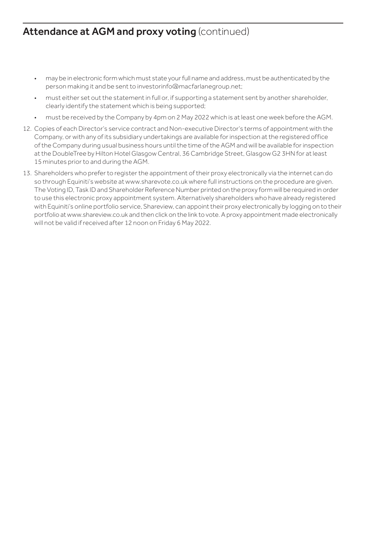# Attendance at AGM and proxy voting (continued)

- may be in electronic form which must state your full name and address, must be authenticated by the person making it and be sent to investorinfo@macfarlanegroup.net;
- must either set out the statement in full or, if supporting a statement sent by another shareholder, clearly identify the statement which is being supported;
- must be received by the Company by 4pm on 2 May 2022 which is at least one week before the AGM.
- 12. Copies of each Director's service contract and Non-executive Director's terms of appointment with the Company, or with any of its subsidiary undertakings are available for inspection at the registered office of the Company during usual business hours until the time of the AGM and will be available for inspection at the DoubleTree by Hilton Hotel Glasgow Central, 36 Cambridge Street, Glasgow G2 3HN for at least 15 minutes prior to and during the AGM.
- 13. Shareholders who prefer to register the appointment of their proxy electronically via the internet can do so through Equiniti's website at www.sharevote.co.uk where full instructions on the procedure are given. The Voting ID, Task ID and Shareholder Reference Number printed on the proxy form will be required in order to use this electronic proxy appointment system. Alternatively shareholders who have already registered with Equiniti's online portfolio service, Shareview, can appoint their proxy electronically by logging on to their portfolio at www.shareview.co.uk and then click on the link to vote. A proxy appointment made electronically will not be valid if received after 12 noon on Friday 6 May 2022.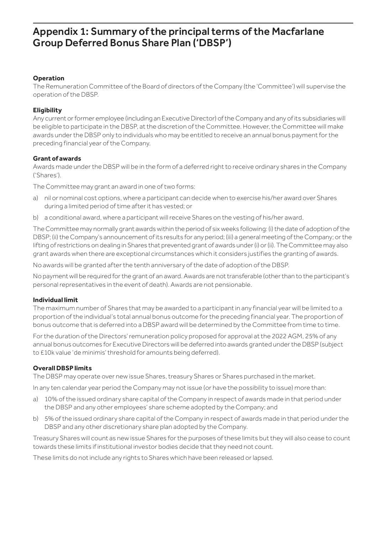# Appendix 1: Summary of the principal terms of the Macfarlane Group Deferred Bonus Share Plan ('DBSP')

#### **Operation**

The Remuneration Committee of the Board of directors of the Company (the 'Committee') will supervise the operation of the DBSP.

#### **Eligibility**

Any current or former employee (including an Executive Director) of the Company and any of its subsidiaries will be eligible to participate in the DBSP, at the discretion of the Committee. However, the Committee will make awards under the DBSP only to individuals who may be entitled to receive an annual bonus payment for the preceding financial year of the Company.

#### **Grant of awards**

Awards made under the DBSP will be in the form of a deferred right to receive ordinary shares in the Company ('Shares').

The Committee may grant an award in one of two forms:

- a) nil or nominal cost options, where a participant can decide when to exercise his/her award over Shares during a limited period of time after it has vested; or
- b) a conditional award, where a participant will receive Shares on the vesting of his/her award.

The Committee may normally grant awards within the period of six weeks following: (i) the date of adoption of the DBSP; (ii) the Company's announcement of its results for any period; (iii) a general meeting of the Company; or the lifting of restrictions on dealing in Shares that prevented grant of awards under (i) or (ii). The Committee may also grant awards when there are exceptional circumstances which it considers justifies the granting of awards.

No awards will be granted after the tenth anniversary of the date of adoption of the DBSP.

No payment will be required for the grant of an award. Awards are not transferable (other than to the participant's personal representatives in the event of death). Awards are not pensionable.

#### **Individual limit**

The maximum number of Shares that may be awarded to a participant in any financial year will be limited to a proportion of the individual's total annual bonus outcome for the preceding financial year. The proportion of bonus outcome that is deferred into a DBSP award will be determined by the Committee from time to time.

For the duration of the Directors' remuneration policy proposed for approval at the 2022 AGM, 25% of any annual bonus outcomes for Executive Directors will be deferred into awards granted under the DBSP (subject to £10k value 'de minimis' threshold for amounts being deferred).

#### **Overall DBSP limits**

The DBSP may operate over new issue Shares, treasury Shares or Shares purchased in the market.

In any ten calendar year period the Company may not issue (or have the possibility to issue) more than:

- a) 10% of the issued ordinary share capital of the Company in respect of awards made in that period under the DBSP and any other employees' share scheme adopted by the Company; and
- b) 5% of the issued ordinary share capital of the Company in respect of awards made in that period under the DBSP and any other discretionary share plan adopted by the Company.

Treasury Shares will count as new issue Shares for the purposes of these limits but they will also cease to count towards these limits if institutional investor bodies decide that they need not count.

These limits do not include any rights to Shares which have been released or lapsed.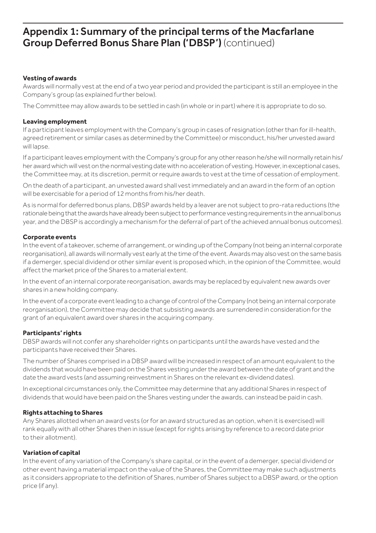# Appendix 1: Summary of the principal terms of the Macfarlane Group Deferred Bonus Share Plan ('DBSP') (continued)

#### **Vesting of awards**

Awards will normally vest at the end of a two year period and provided the participant is still an employee in the Company's group (as explained further below).

The Committee may allow awards to be settled in cash (in whole or in part) where it is appropriate to do so.

#### **Leaving employment**

If a participant leaves employment with the Company's group in cases of resignation (other than for ill-health, agreed retirement or similar cases as determined by the Committee) or misconduct, his/her unvested award will lapse.

If a participant leaves employment with the Company's group for any other reason he/she will normally retain his/ her award which will vest on the normal vesting date with no acceleration of vesting. However, in exceptional cases, the Committee may, at its discretion, permit or require awards to vest at the time of cessation of employment.

On the death of a participant, an unvested award shall vest immediately and an award in the form of an option will be exercisable for a period of 12 months from his/her death.

As is normal for deferred bonus plans, DBSP awards held by a leaver are not subject to pro-rata reductions (the rationale being that the awards have already been subject to performance vesting requirements in the annual bonus year, and the DBSP is accordingly a mechanism for the deferral of part of the achieved annual bonus outcomes).

#### **Corporate events**

In the event of a takeover, scheme of arrangement, or winding up of the Company (not being an internal corporate reorganisation), all awards will normally vest early at the time of the event. Awards may also vest on the same basis if a demerger, special dividend or other similar event is proposed which, in the opinion of the Committee, would affect the market price of the Shares to a material extent.

In the event of an internal corporate reorganisation, awards may be replaced by equivalent new awards over shares in a new holding company.

In the event of a corporate event leading to a change of control of the Company (not being an internal corporate reorganisation), the Committee may decide that subsisting awards are surrendered in consideration for the grant of an equivalent award over shares in the acquiring company.

#### **Participants' rights**

DBSP awards will not confer any shareholder rights on participants until the awards have vested and the participants have received their Shares.

The number of Shares comprised in a DBSP award will be increased in respect of an amount equivalent to the dividends that would have been paid on the Shares vesting under the award between the date of grant and the date the award vests (and assuming reinvestment in Shares on the relevant ex-dividend dates).

In exceptional circumstances only, the Committee may determine that any additional Shares in respect of dividends that would have been paid on the Shares vesting under the awards, can instead be paid in cash.

#### **Rights attaching to Shares**

Any Shares allotted when an award vests (or for an award structured as an option, when it is exercised) will rank equally with all other Shares then in issue (except for rights arising by reference to a record date prior to their allotment).

#### **Variation of capital**

In the event of any variation of the Company's share capital, or in the event of a demerger, special dividend or other event having a material impact on the value of the Shares, the Committee may make such adjustments as it considers appropriate to the definition of Shares, number of Shares subject to a DBSP award, or the option price (if any).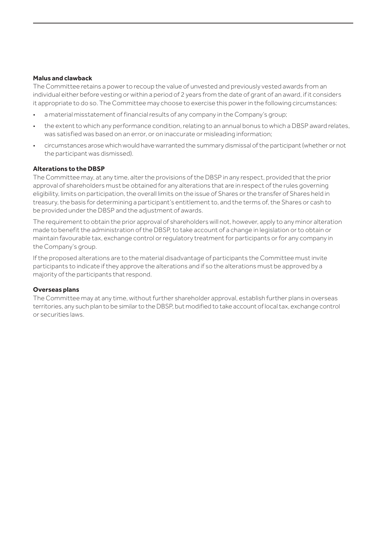#### **Malus and clawback**

The Committee retains a power to recoup the value of unvested and previously vested awards from an individual either before vesting or within a period of 2 years from the date of grant of an award, if it considers it appropriate to do so. The Committee may choose to exercise this power in the following circumstances:

- a material misstatement of financial results of any company in the Company's group;
- the extent to which any performance condition, relating to an annual bonus to which a DBSP award relates, was satisfied was based on an error, or on inaccurate or misleading information;
- circumstances arose which would have warranted the summary dismissal of the participant (whether or not the participant was dismissed).

#### **Alterations to the DBSP**

The Committee may, at any time, alter the provisions of the DBSP in any respect, provided that the prior approval of shareholders must be obtained for any alterations that are in respect of the rules governing eligibility, limits on participation, the overall limits on the issue of Shares or the transfer of Shares held in treasury, the basis for determining a participant's entitlement to, and the terms of, the Shares or cash to be provided under the DBSP and the adjustment of awards.

The requirement to obtain the prior approval of shareholders will not, however, apply to any minor alteration made to benefit the administration of the DBSP, to take account of a change in legislation or to obtain or maintain favourable tax, exchange control or regulatory treatment for participants or for any company in the Company's group.

If the proposed alterations are to the material disadvantage of participants the Committee must invite participants to indicate if they approve the alterations and if so the alterations must be approved by a majority of the participants that respond.

#### **Overseas plans**

The Committee may at any time, without further shareholder approval, establish further plans in overseas territories, any such plan to be similar to the DBSP, but modified to take account of local tax, exchange control or securities laws.